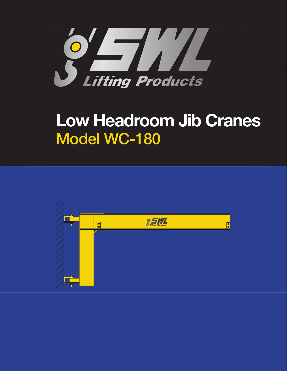

## **Low Headroom Jib Cranes** Model WC-180

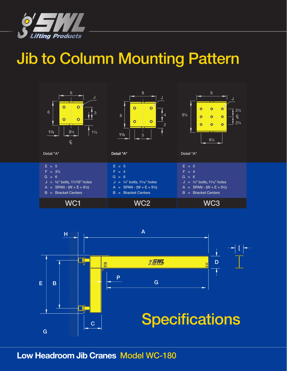

## Jib to Column Mounting Pattern





## **Low Headroom Jib Cranes** Model WC-180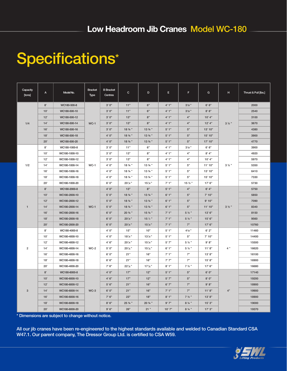## Specifications\*

| Capacity<br>[tons] | A         | Model No.     | <b>Bracket</b><br>Type | <b>B</b> Bracket<br>Centres | $\mathbf{C}$ | D         | E.      | F                | G          | н                | Thrust & Pull [lbs.] |
|--------------------|-----------|---------------|------------------------|-----------------------------|--------------|-----------|---------|------------------|------------|------------------|----------------------|
| 1/4                | 8'        | WC180-500-8   | $WC-1$                 | 3'0''                       | 11"          | 6"        | 4'1''   | $3\frac{3}{8}$ " | 6'6''      | $3\frac{1}{2}$ " | 2000                 |
|                    | 10'       | WC180-500-10  |                        | 3'0''                       | 11"          | 6"        | 4'1''   | $3\frac{3}{8}$ " | 8'6''      |                  | 2540                 |
|                    | 12'       | WC180-500-12  |                        | 3'0''                       | 13"          | 8"        | 4'1''   | 4"               | 10' 4"     |                  | 3100                 |
|                    | 14'       | WC180-500-14  |                        | 3'0''                       | 13"          | $8"$      | 4'1''   | 4"               | 12' 4''    |                  | 3670                 |
|                    | 16'       | WC180-500-16  |                        | 3'0''                       | 18 3/4 "     | 13 3/4 "  | 5'1"    | $5"$             | 13' 10"    |                  | 4380                 |
|                    | 18'       | WC180-500-18  |                        | 4'0''                       | 18 3/4 "     | 13 3/4 "  | 5'1''   | $5"$             | 15' 10"    |                  | 3900                 |
|                    | 20'       | WC180-500-20  |                        | 4'0''                       | 18 3/4 "     | $13 \%$ " | 5'1''   | 5"               | 17'10"     |                  | 4770                 |
| 1/2                | 8'        | WC180-1000-8  | $WC-1$                 | 3'0''                       | 11"          | 6"        | 4'1''   | $3\frac{3}{8}$ " | 6' 6''     | $3\frac{1}{2}$   | 3900                 |
|                    | 10'       | WC180-1000-10 |                        | 3'0''                       | 13"          | 8"        | 4'1''   | 4"               | 8' 4''     |                  | 4920                 |
|                    | 12'       | WC180-1000-12 |                        | 3'0''                       | 13"          | 8"        | 4'1''   | 4"               | 10' 4"     |                  | 5970                 |
|                    | 14'       | WC180-1000-14 |                        | 4'0''                       | 18 % "       | 13 % "    | 5'1''   | 5"               | 11'10"     |                  | 5350                 |
|                    | 16'       | WC180-1000-16 |                        | 4'0''                       | 18 % "       | 13 % "    | 5'1"    | 5"               | 13' 10"    |                  | 6410                 |
|                    | 18'       | WC180-1000-18 |                        | 4'0''                       | 18 3/4 "     | 13 % "    | 5'1"    | 5"               | 15' 10"    |                  | 7330                 |
|                    | 20'       | WC180-1000-20 |                        | 6'0''                       | $20\%$ "     | $15\%$ "  | 7'1''   | 15 1/2 "         | 17'6''     |                  | 5730                 |
| $\mathbf{1}$       | 8'        | WC180-2000-8  | $WC-1$                 | 4'0''                       | 13"          | 8"        | 5'1"    | 4"               | 6' 4''     | $3\frac{1}{2}$   | 5750                 |
|                    | 10'       | WC180-2000-10 |                        | 5'0''                       | 18 3/4 "     | 13 3/4 "  | 6'1''   | 5"               | 7'10''     |                  | 5850                 |
|                    | 12'       | WC180-2000-12 |                        | 5'0''                       | 18 3/4 "     | 13 3/4 "  | 6'1''   | 5"               | 9'10"      |                  | 7090                 |
|                    | 14'       | WC180-2000-14 |                        | 5'0''                       | 18 3/4 "     | $13 \%$ " | 6'1''   | 5"               | 11'10"     |                  | 8340                 |
|                    | 16'       | WC180-2000-16 |                        | 6'0''                       | 20 3/4 "     | 15 3/4 "  | 7'1''   | $5\frac{1}{2}$   | 13'6''     |                  | 8150                 |
|                    | 18'       | WC180-2000-18 |                        | 6'0''                       | $20\%$ "     | 15%       | 7'1''   | $5\frac{1}{2}$   | 15'6''     |                  | 9560                 |
|                    | 20'       | WC180-2000-20 |                        | 6'0''                       | $20\%$ "     | $15\%$ "  | 7'1''   | 7"               | 17'6''     |                  | 10760                |
| $\overline{2}$     | 8'        | WC180-4000-8  | $WC-2$                 | 4'0''                       | 15"          | 10"       | 5'1"    | 45/8"            | 6'2''      | 4"               | 11460                |
|                    | 10'       | WC180-4000-10 |                        | 4'0''                       | $18\%$ "     | $13\%$ "  | 5'1''   | 5"               | 7'10''     |                  | 14400                |
|                    | 12'       | WC180-4000-12 |                        | 4'6''                       | $20\%$ "     | $15\%$ "  | 5'7''   | 5 1/2 "          | 9' 8"      |                  | 15500                |
|                    | 14'       | WC180-4000-14 |                        | 5'0''                       | $20\%$ "     | $15\%$ "  | 6'1''   | $5\frac{1}{2}$   | 11' 8''    |                  | 16620                |
|                    | 16'       | WC180-4000-16 |                        | 6'0''                       | 21"          | 16"       | 7'1''   | 7"               | 13' 8''    |                  | 16100                |
|                    | 18'       | WC180-4000-18 |                        | 6' 6''                      | 21"          | 16"       | 7'7''   | 7"               | 15' 8''    |                  | 16900                |
|                    | 20'       | WC180-4000-20 |                        | 7'6''                       | 22%"         | $17\%$ "  | 8'1"    | $7\frac{1}{2}$ " | 17'6''     |                  | 16680                |
| 3                  | $8^\circ$ | WC180-6000-8  | $WC-3$                 | 4'0''                       | 17"          | 12"       | $5'1''$ | $5"$             | 6'0''      | 4"               | 17140                |
|                    | 10'       | WC180-6000-10 |                        | 4'6''                       | 17"          | 12"       | 5'7''   | $5"$             | $8'$ $0''$ |                  | 19200                |
|                    | 12'       | WC180-6000-12 |                        | $5'6''$                     | 21"          | 16"       | 6'7''   | 7"               | 9' 8''     |                  | 18900                |
|                    | 14'       | WC180-6000-14 |                        | 6'0''                       | 21"          | 16"       | 7'1''   | 7"               | 11' 8''    |                  | 19900                |
|                    | 16'       | WC180-6000-16 |                        | 7'6''                       | 23"          | 18"       | 8'1"    | $7\frac{1}{2}$ " | 13' 8''    |                  | 18900                |
|                    | 18'       | WC180-6000-18 |                        | 8'6''                       | 25 3/4 "     | 20 % "    | 9'7''   | 8 1/4 "          | 15'3''     |                  | 19000                |
|                    | 20'       | WC180-6000-20 |                        | 9'6''                       | 26"          | 21"       | 10'7"   | $8\frac{1}{4}$ " | 17'3''     |                  | 19370                |

\* Dimensions are subject to change without notice.

All our jib cranes have been re-engineered to the highest standards available and welded to Canadian Standard CSA W47.1. Our parent company, The Dressor Group Ltd. is certified to CSA W59.